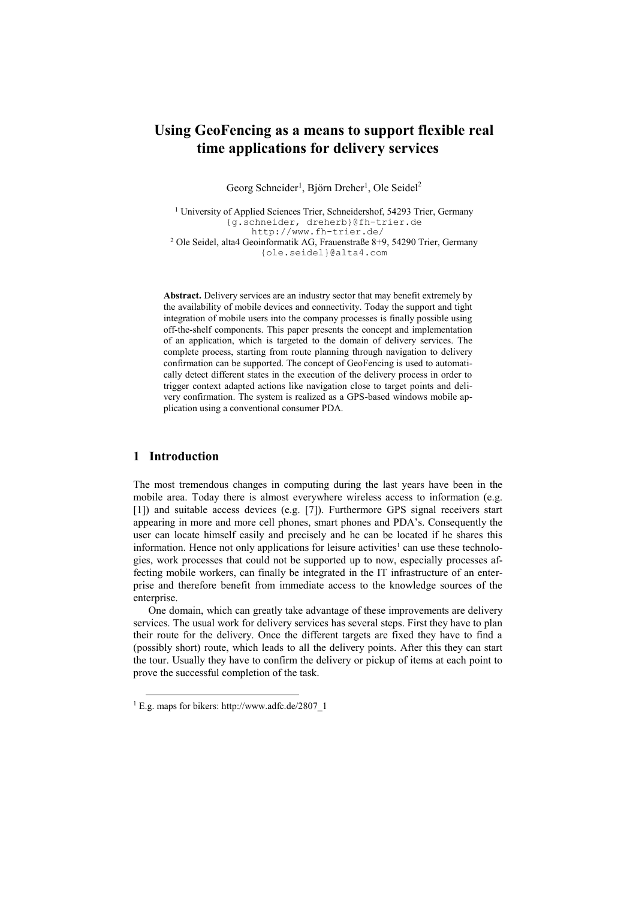# **Using GeoFencing as a means to support flexible real time applications for delivery services**

Georg Schneider<sup>1</sup>, Björn Dreher<sup>1</sup>, Ole Seidel<sup>2</sup>

<sup>1</sup> University of Applied Sciences Trier, Schneidershof, 54293 Trier, Germany {g.schneider, dreherb}@fh-trier.de http://www.fh-trier.de/ <sup>2</sup> Ole Seidel, alta4 Geoinformatik AG, Frauenstraße 8+9, 54290 Trier, Germany {ole.seidel}@alta4.com

**Abstract.** Delivery services are an industry sector that may benefit extremely by the availability of mobile devices and connectivity. Today the support and tight integration of mobile users into the company processes is finally possible using off-the-shelf components. This paper presents the concept and implementation of an application, which is targeted to the domain of delivery services. The complete process, starting from route planning through navigation to delivery confirmation can be supported. The concept of GeoFencing is used to automatically detect different states in the execution of the delivery process in order to trigger context adapted actions like navigation close to target points and delivery confirmation. The system is realized as a GPS-based windows mobile application using a conventional consumer PDA.

### **1 Introduction**

-

The most tremendous changes in computing during the last years have been in the mobile area. Today there is almost everywhere wireless access to information (e.g. [1]) and suitable access devices (e.g. [7]). Furthermore GPS signal receivers start appearing in more and more cell phones, smart phones and PDA's. Consequently the user can locate himself easily and precisely and he can be located if he shares this information. Hence not only applications for leisure activities<sup>1</sup> can use these technologies, work processes that could not be supported up to now, especially processes affecting mobile workers, can finally be integrated in the IT infrastructure of an enterprise and therefore benefit from immediate access to the knowledge sources of the enterprise.

One domain, which can greatly take advantage of these improvements are delivery services. The usual work for delivery services has several steps. First they have to plan their route for the delivery. Once the different targets are fixed they have to find a (possibly short) route, which leads to all the delivery points. After this they can start the tour. Usually they have to confirm the delivery or pickup of items at each point to prove the successful completion of the task.

<sup>1</sup> E.g. maps for bikers: http://www.adfc.de/2807\_1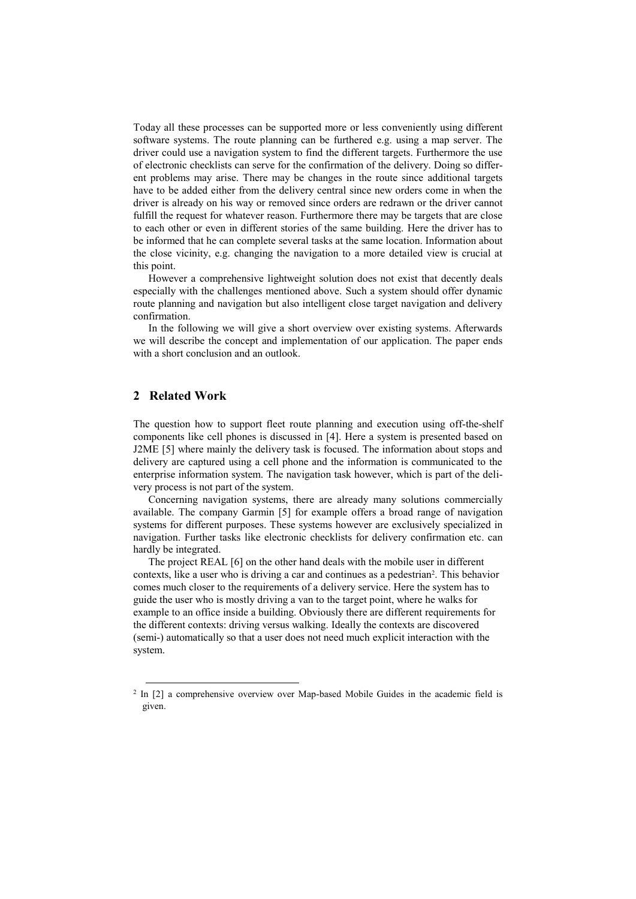Today all these processes can be supported more or less conveniently using different software systems. The route planning can be furthered e.g. using a map server. The driver could use a navigation system to find the different targets. Furthermore the use of electronic checklists can serve for the confirmation of the delivery. Doing so different problems may arise. There may be changes in the route since additional targets have to be added either from the delivery central since new orders come in when the driver is already on his way or removed since orders are redrawn or the driver cannot fulfill the request for whatever reason. Furthermore there may be targets that are close to each other or even in different stories of the same building. Here the driver has to be informed that he can complete several tasks at the same location. Information about the close vicinity, e.g. changing the navigation to a more detailed view is crucial at this point.

However a comprehensive lightweight solution does not exist that decently deals especially with the challenges mentioned above. Such a system should offer dynamic route planning and navigation but also intelligent close target navigation and delivery confirmation.

In the following we will give a short overview over existing systems. Afterwards we will describe the concept and implementation of our application. The paper ends with a short conclusion and an outlook.

# **2 Related Work**

1

The question how to support fleet route planning and execution using off-the-shelf components like cell phones is discussed in [4]. Here a system is presented based on J2ME [5] where mainly the delivery task is focused. The information about stops and delivery are captured using a cell phone and the information is communicated to the enterprise information system. The navigation task however, which is part of the delivery process is not part of the system.

Concerning navigation systems, there are already many solutions commercially available. The company Garmin [5] for example offers a broad range of navigation systems for different purposes. These systems however are exclusively specialized in navigation. Further tasks like electronic checklists for delivery confirmation etc. can hardly be integrated.

The project REAL [6] on the other hand deals with the mobile user in different contexts, like a user who is driving a car and continues as a pedestrian<sup>2</sup>. This behavior comes much closer to the requirements of a delivery service. Here the system has to guide the user who is mostly driving a van to the target point, where he walks for example to an office inside a building. Obviously there are different requirements for the different contexts: driving versus walking. Ideally the contexts are discovered (semi-) automatically so that a user does not need much explicit interaction with the system.

<sup>&</sup>lt;sup>2</sup> In [2] a comprehensive overview over Map-based Mobile Guides in the academic field is given.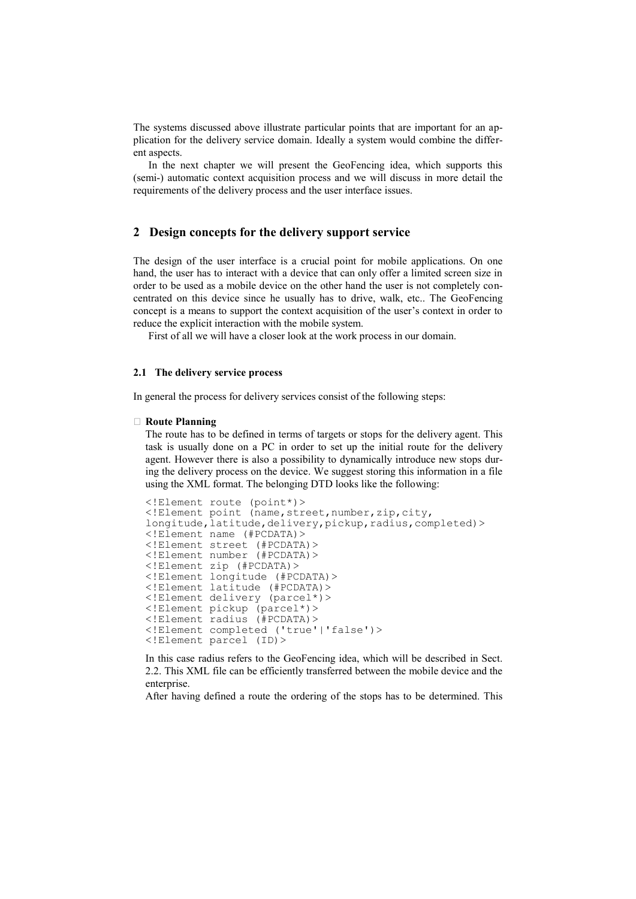The systems discussed above illustrate particular points that are important for an application for the delivery service domain. Ideally a system would combine the different aspects.

In the next chapter we will present the GeoFencing idea, which supports this (semi-) automatic context acquisition process and we will discuss in more detail the requirements of the delivery process and the user interface issues.

# **2 Design concepts for the delivery support service**

The design of the user interface is a crucial point for mobile applications. On one hand, the user has to interact with a device that can only offer a limited screen size in order to be used as a mobile device on the other hand the user is not completely concentrated on this device since he usually has to drive, walk, etc.. The GeoFencing concept is a means to support the context acquisition of the user's context in order to reduce the explicit interaction with the mobile system.

First of all we will have a closer look at the work process in our domain.

### **2.1 The delivery service process**

In general the process for delivery services consist of the following steps:

#### **Route Planning**

The route has to be defined in terms of targets or stops for the delivery agent. This task is usually done on a PC in order to set up the initial route for the delivery agent. However there is also a possibility to dynamically introduce new stops during the delivery process on the device. We suggest storing this information in a file using the XML format. The belonging DTD looks like the following:

```
<!Element route (point*)>
<!Element point (name,street,number,zip,city,
longitude, latitude, delivery, pickup, radius, completed) >
<!Element name (#PCDATA)>
<!Element street (#PCDATA)>
<!Element number (#PCDATA)>
<!Element zip (#PCDATA)>
<!Element longitude (#PCDATA)>
<!Element latitude (#PCDATA)>
<!Element delivery (parcel*)>
<!Element pickup (parcel*)>
<!Element radius (#PCDATA)>
<!Element completed ('true'|'false')>
<!Element parcel (ID)>
```
In this case radius refers to the GeoFencing idea, which will be described in Sect. 2.2. This XML file can be efficiently transferred between the mobile device and the enterprise.

After having defined a route the ordering of the stops has to be determined. This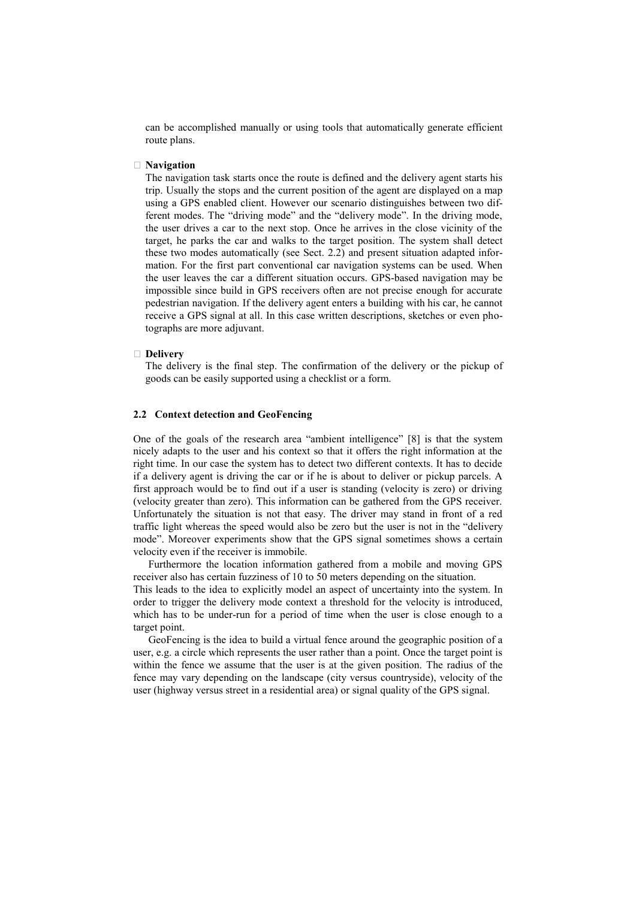can be accomplished manually or using tools that automatically generate efficient route plans.

#### **Navigation**

The navigation task starts once the route is defined and the delivery agent starts his trip. Usually the stops and the current position of the agent are displayed on a map using a GPS enabled client. However our scenario distinguishes between two different modes. The "driving mode" and the "delivery mode". In the driving mode, the user drives a car to the next stop. Once he arrives in the close vicinity of the target, he parks the car and walks to the target position. The system shall detect these two modes automatically (see Sect. 2.2) and present situation adapted information. For the first part conventional car navigation systems can be used. When the user leaves the car a different situation occurs. GPS-based navigation may be impossible since build in GPS receivers often are not precise enough for accurate pedestrian navigation. If the delivery agent enters a building with his car, he cannot receive a GPS signal at all. In this case written descriptions, sketches or even photographs are more adjuvant.

#### **Delivery**

The delivery is the final step. The confirmation of the delivery or the pickup of goods can be easily supported using a checklist or a form.

### **2.2 Context detection and GeoFencing**

One of the goals of the research area "ambient intelligence" [8] is that the system nicely adapts to the user and his context so that it offers the right information at the right time. In our case the system has to detect two different contexts. It has to decide if a delivery agent is driving the car or if he is about to deliver or pickup parcels. A first approach would be to find out if a user is standing (velocity is zero) or driving (velocity greater than zero). This information can be gathered from the GPS receiver. Unfortunately the situation is not that easy. The driver may stand in front of a red traffic light whereas the speed would also be zero but the user is not in the "delivery mode". Moreover experiments show that the GPS signal sometimes shows a certain velocity even if the receiver is immobile.

Furthermore the location information gathered from a mobile and moving GPS receiver also has certain fuzziness of 10 to 50 meters depending on the situation. This leads to the idea to explicitly model an aspect of uncertainty into the system. In order to trigger the delivery mode context a threshold for the velocity is introduced, which has to be under-run for a period of time when the user is close enough to a

target point. GeoFencing is the idea to build a virtual fence around the geographic position of a user, e.g. a circle which represents the user rather than a point. Once the target point is within the fence we assume that the user is at the given position. The radius of the fence may vary depending on the landscape (city versus countryside), velocity of the user (highway versus street in a residential area) or signal quality of the GPS signal.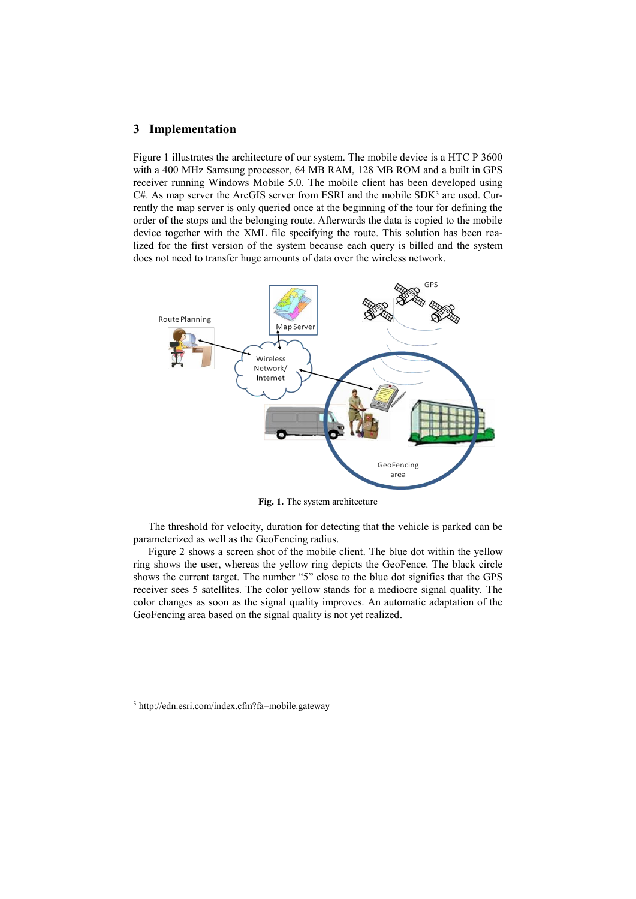### **3 Implementation**

Figure 1 illustrates the architecture of our system. The mobile device is a HTC P 3600 with a 400 MHz Samsung processor, 64 MB RAM, 128 MB ROM and a built in GPS receiver running Windows Mobile 5.0. The mobile client has been developed using  $C#$ . As map server the ArcGIS server from ESRI and the mobile SDK<sup>3</sup> are used. Currently the map server is only queried once at the beginning of the tour for defining the order of the stops and the belonging route. Afterwards the data is copied to the mobile device together with the XML file specifying the route. This solution has been realized for the first version of the system because each query is billed and the system does not need to transfer huge amounts of data over the wireless network.



**Fig. 1.** The system architecture

The threshold for velocity, duration for detecting that the vehicle is parked can be parameterized as well as the GeoFencing radius.

Figure 2 shows a screen shot of the mobile client. The blue dot within the yellow ring shows the user, whereas the yellow ring depicts the GeoFence. The black circle shows the current target. The number "5" close to the blue dot signifies that the GPS receiver sees 5 satellites. The color yellow stands for a mediocre signal quality. The color changes as soon as the signal quality improves. An automatic adaptation of the GeoFencing area based on the signal quality is not yet realized.

-

<sup>3</sup> http://edn.esri.com/index.cfm?fa=mobile.gateway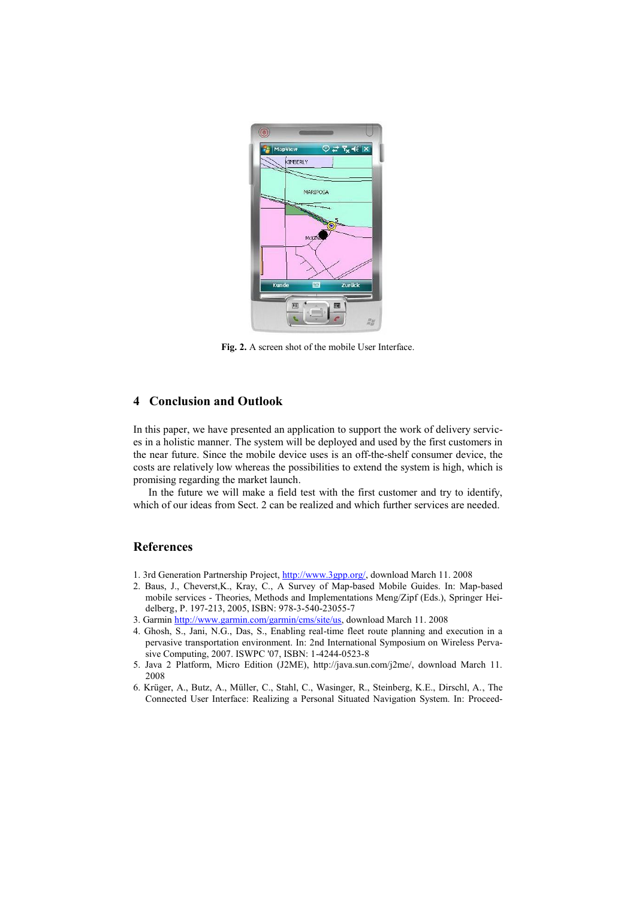

**Fig. 2.** A screen shot of the mobile User Interface.

# **4 Conclusion and Outlook**

In this paper, we have presented an application to support the work of delivery services in a holistic manner. The system will be deployed and used by the first customers in the near future. Since the mobile device uses is an off-the-shelf consumer device, the costs are relatively low whereas the possibilities to extend the system is high, which is promising regarding the market launch.

In the future we will make a field test with the first customer and try to identify, which of our ideas from Sect. 2 can be realized and which further services are needed.

### **References**

- 1. 3rd Generation Partnership Project[, http://www.3gpp.org/,](http://www.3gpp.org/) download March 11. 2008
- 2. Baus, J., Cheverst,K., Kray, C., A Survey of Map-based Mobile Guides. In: Map-based mobile services - Theories, Methods and Implementations Meng/Zipf (Eds.), Springer Heidelberg, P. 197-213, 2005, ISBN: 978-3-540-23055-7
- 3. Garmi[n http://www.garmin.com/garmin/cms/site/us,](http://www.garmin.com/garmin/cms/site/us) download March 11. 2008
- 4. Ghosh, S., Jani, N.G., Das, S., Enabling real-time fleet route planning and execution in a pervasive transportation environment. In: 2nd International Symposium on Wireless Pervasive Computing, 2007. ISWPC '07, ISBN: 1-4244-0523-8
- 5. Java 2 Platform, Micro Edition (J2ME), http://java.sun.com/j2me/, download March 11. 2008
- 6. Krüger, A., Butz, A., Müller, C., Stahl, C., Wasinger, R., Steinberg, K.E., Dirschl, A., The Connected User Interface: Realizing a Personal Situated Navigation System. In: Proceed-